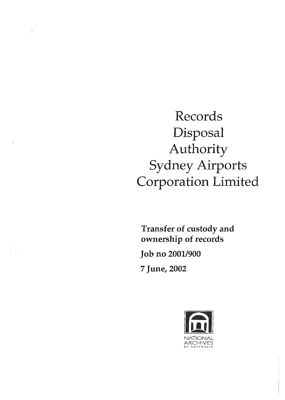Records Disposal Authority Sydney Airports Corporation Limited

Transfer of custody and ownership of records Job no *2001/900* 7 June, 2002

in.<br>Ug

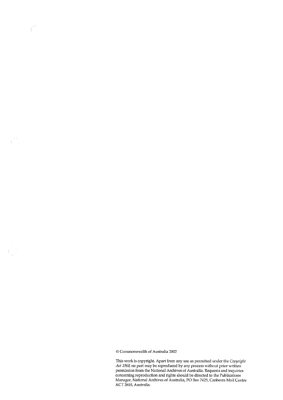© Commonwealth of Australia 2002

Ť

 $\mathbb{C}^m$ 

 $\begin{pmatrix} 1 \\ 1 \\ 1 \end{pmatrix}$ 

111is work is copyright. Apart from any use as permitted under the *Copyright Act* 1968, no part may be reproduced by any process without prior written permission from the National Archives of Australia. Requests and inquiries concerning reproduction and rights should be directed to the Publications Manager, National Archives of Australia, PO Box 7425, Canberra Mail Centre ACT 2610, Australia.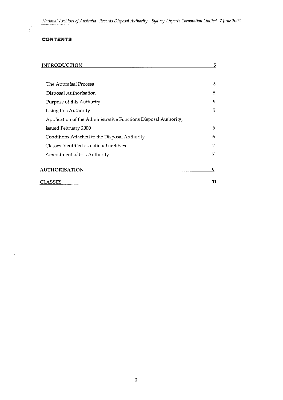# **CONTENTS**

ť

 $\hat{U}^{\pm}$ 

 $\begin{pmatrix} 1 & 0 \\ 0 & 1 \\ 0 & 0 \end{pmatrix}$ 

| <b>INTRODUCTION</b>                                             |    |
|-----------------------------------------------------------------|----|
|                                                                 |    |
| The Appraisal Process                                           | 5  |
| Disposal Authorisation                                          | 5  |
| Purpose of this Authority                                       | 5  |
| Using this Authority                                            | 5  |
| Application of the Administrative Functions Disposal Authority, |    |
| issued February 2000                                            | 6  |
| Conditions Attached to the Disposal Authority                   | 6  |
| Classes identified as national archives                         | 7  |
| Amendment of this Authority                                     | 7  |
| <b>AUTHORISATION</b>                                            | 9  |
| <b>CLASSES</b>                                                  | 11 |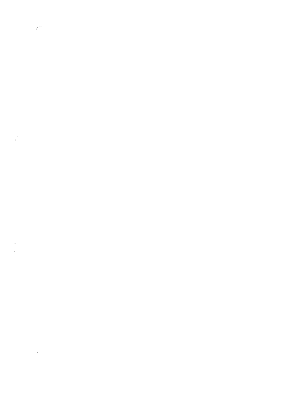# $\int_0^{\sqrt{2\pi}t}$

# $\int_{0}^{\frac{1}{2}H_{\rm{eff}}}\left|\frac{d\theta}{d\theta}\right|^{2}d\theta\left|\frac{d\theta}{d\theta}\right|^{2}d\theta.$

 $\mathcal{L}^{\text{max}}_{\text{max}}$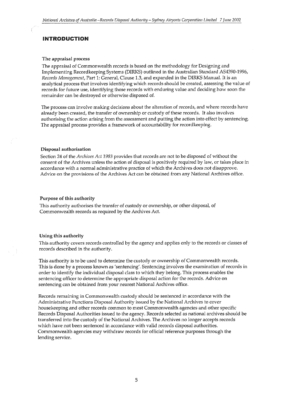# INTRODUCTION

### The appraisal process

The appraisal of Commonwealth records is based on the methodology for Designing and Implementing Recordkeeping Systems (DIRKS) outlined in the Australian Standard AS4390-1996, *Records Management,* Part I: General, Clause 1.3, and expanded in the DIRKS Manual. It is an analytical process that involves identifying which records should be created, assessing the value of records for future use, identifying those records with enduring value and deciding how soon the remainder can be destroyed or otherwise disposed of.

The process can involve making decisions about the alteration of records, and where records have already been created, the transfer of ownership or custody of these records. It also involves authorising the action arising from the assessment and putting the action into effect by sentencing. The appraisal process provides a framework of accountability for recordkeeping.

# Disposal authorisation

Section 24 of the *Archives Act 1983* provides that records are not to be disposed of without the consent of the Archives unless the action of disposal is positively required by law, or takes place in accordance with a normal administrative practice of which the Archives does not disapprove. Advice on the provisions of the Archives Act can be obtained from any National Archives office.

# Purpose of this authority

This authority authorises the transfer of custody or ownership, or other disposal, of Commonwealth records as required by the Archives Act.

# Using this authority

This authority covers records controlled by the agency and applies only to the records or classes of records described in the authority.

This authority is to be used to determine the custody or ownership of Commonwealth records. This is done by a process known as 'sentencing'. Sentencing involves the examination of records in order to identify the individual disposal class to which they belong. This process enables the sentencing officer to determine the appropriate disposal action for the records. Advice on sentencing can be obtained from your nearest National Archives office.

Records remaining in Commonwealth custody should be sentenced in accordance with the Administrative Functions Disposal Authority issued by the National Archives to cover housekeeping and other records common to most Commonwealth agencies and other specific Records Disposal Authorities issued to the agency. Records selected as national archives should be transferred into the custody of the National Archives. The Archives no longer accepts records which have not been sentenced in accordance with valid records disposal authorities. Commonwealth agencies may withdraw records for official reference purposes through the lending service.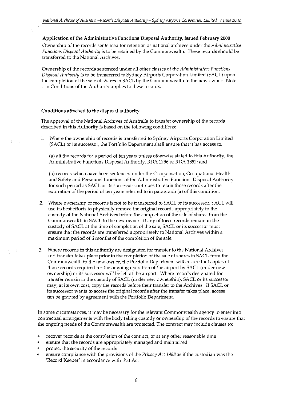# Application of the Administrative Functions Disposal Authority, issued February 2000

Ownership of the records sentenced for retention as national archives under the *Administrative Functions Disposal Authorihj* is to be retained by the Commonwealth. These records should be transferred to the National Archives.

Ownership of the records sentenced under all other classes of the *Administrative Functions Disposal Authority* is to be transferred to Sydney Airports Corporation Limited (SACL) upon the completion of the sale of shares in SACL by the Commonwealth to the new owner. Note 1 in Conditions of the Authority applies to these records.

# Conditions attached to the disposal authority

The approval of the National Archives of Australia to transfer ownership of the records described in this Authority is based on the following conditions:

1. Where the ownership of records is transferred to Sydney Airports Corporation Limited (SACL) or its successor, the Portfolio Department shall ensure that it has access to:

(a) all the records for a period of ten years unless otherwise stated in this Authority, the Administrative Functions Disposal Authority, RDA 1296 or RDA 1352; and

(b) records which have been sentenced under the Compensation, Occupational Health and Safety and Personnel functions of the Administrative Functions Disposal Authority for such period as SACL or its successor continues to retain those records after the expiration of the period of ten years referred to in paragraph (a) of this condition.

- 2. Where ownership of records is not to be transferred to SACL or its successor, SACL will use its best efforts to physically remove the original records appropriately to the custody of the National Archives before the completion of the sale of shares from the Commonwealth in SACL to the new owner. If any of these records remain in the custody of SACL at the time of completion of the sale, SACL or its successor must ensure that the records are transferred appropriately to National Archives within a maximum period of 6 months of the completion of the sale.
- 3. Where records in this authority are designated for transfer to the National Archives, and transfer takes place prior to the completion of the sale of shares in SACL from the Commonwealth to the new owner, the Portfolio Department will ensure that copies of those records required for the ongoing operation of the airport by SACL (under new ownership) or its successor will be left at the airport. Where records designated for transfer remain in the custody of SACL (under new ownership), SACL or its successor may, at its own cost, copy the records before their transfer to the Archives, If SACL or its successor wants to access the original records after the transfer takes place, access can be granted by agreement with the Portfolio Department.

In some circumstances, it may be necessary for the relevant Commonwealth agency to enter into contractual arrangements with the body taking custody or ownership of the records to ensure that the ongoing needs of the Commonwealth are protected. The contract may include clauses to:

- **• recover records at the completion of the contract, or at any other reasonable time**
- ensure that the records are appropriately managed and maintained
- protect the security of the records
- ensure compliance with the provisions of the *Privacy Act* 1988 as if the custodian was the 'Record Keeper' in accordance with that Act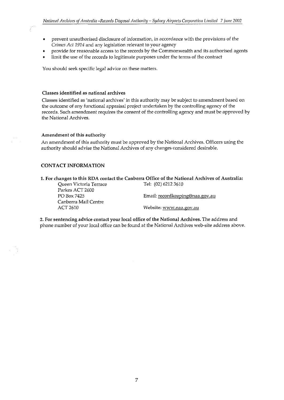- prevent unauthorised disclosure of information, in accordance with the provisions of the *Crimes Act* 1914 and any legislation relevant to your agency
- provide for reasonable access to the records by the Commonwealth and its authorised agents
- limit the use of the records to legitimate purposes under the terms of the contract

You should seek specific legal advice on these matters.

# Classes identified as national archives

Classes identified as 'national archives' in this authority may be subject to amendment based on the outcome of any functional appraisal project undertaken by the controlling agency of the records. Such amendment requires the consent of the controlling agency and must be approved by the National Archives.

# Amendment of this authority

An amendment of this authority must be approved by the National Archives. Officers using the authority should advise the National Archives of any changes considered desirable.

# CONTACT **INFORMATION**

# 1. For changes to this **RDA** contact the Canberra Office of the National Archives of Australia:

Queen Victoria Terrace Tel: (02) 6212 3610 Parkes ACT 2600 Canberra Mail Centre

PO Box 7425 **Email:** recordkeeping@naa.gov.au

ACT 2610 Website: www.naa.gov.au

2. For sentencing advice contact your local office of the National Archives. The address and phone number of your local office can be found at the National Archives web-site address above.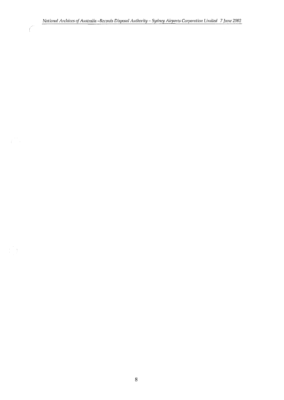$\begin{pmatrix} 1 & 1 \\ 1 & 1 \\ 1 & 1 \end{pmatrix}$ 

 $\bigg($ 

 $\frac{1}{4}\frac{d^2\mathcal{H}}{d\mathcal{H}}\frac{d\mathcal{H}}{d\mathcal{H}}$ 

8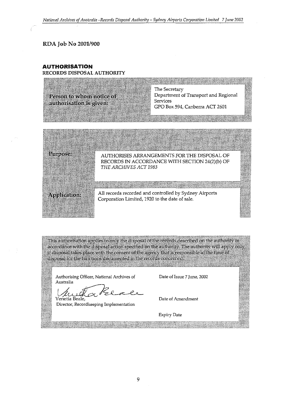# **RDA Job No** *2001/900*

# **AUTHORISATION RECORDS DISPOSAL AUTHORITY**

Person to whom notice of authorisation is given:

The Secretary Department of Transport and Regional Services GPO Box 594, Canberra ACT 2601

Purpose: AUTHORISES ARRANGEMENTS FOR THE DISPOSAL OF RECORDS IN ACCORDANCE WITH SECTION 24(2)(b) OF THE ARCHIVES ACT 1983 All records recorded and controlled by Sydney Airports **Application:** Corporation Limited, 1920 to the date of sale.

This authorisation applies to only the disposal of the records described on the authority in accordance with the disposal action specified on the authority. The authority will apply only if disposal takes place with the consent of the agency that is responsible at the time of disposal for the functions documented in the records concerned.

Authorising Officer, National Archives of Australia

Date of Issue 7 June, 2002

Venetia Beale,

Director, Recordkeeping Implementation

Date of Amendment

**Expiry Date**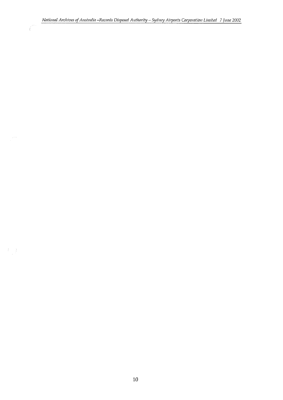$\begin{pmatrix} 1 & 1 \\ 1 & 1 \end{pmatrix}$ 

 $\frac{1}{2}e^{i\frac{\pi}{2}t}$ 

 $\hat{U}$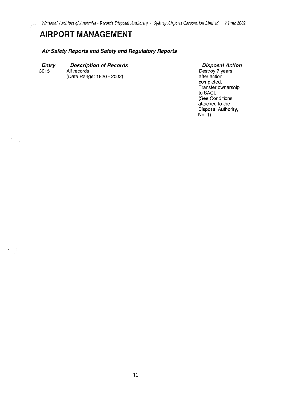Ť

 $\frac{1}{\sqrt{2}}\left(\frac{1}{\sqrt{2}}\right)^{\frac{1}{2}}$ 

 $\ddot{\phantom{a}}$ 

**Air Safety Reports and Safety and Regulatory Reports** 

**Entry Description of Records**<br>3015 All records All records (Date Range: 1920 - 2002)

**Disposal Action**  Destroy 7 years after action completed. Transfer ownership to SACL (See Conditions attached to the Disposal Authority, No.1)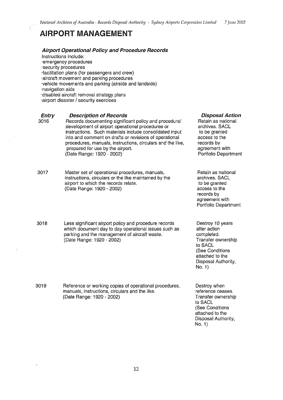### **Airport Operational Policy and Procedure Records**

Instructions include: 'emergency procedures 'security procedures -facilitation plans (for passengers and crew) -aircraft movement and parking procedures 'vehicle movements and parking (airside and landside) 'navigation aids 'disabled aircraft removal strategy plans 'airport disaster / security exercises

# **Entry Description of Records**

3016 Records documenting significant policy and procedurai development of airport operational procedures or instructions. Such materiais include consolidated input into and comment on drafts or revisions of operational procedures, manuals, instructions, circulars and the like, prepared for use by the airport. (Date Range: 1920 - 2002)

3017 Master set of operational procedures, manuals, instructions, circulars or the like maintained by the airport to which the records relate. (Date Range: 1920 - 2002)

3018 Less significant airport policy and procedure records which document day to day operational issues such as parking and the management of aircraft waste. (Date Range: 1920 - 2002)

### **Disposal Action**

Retain as national archives. SACL to be granted access to the records by agreement with Portfolio Department

Retain as national archives. SACL to be granted access to the records by agreement with Portfolio Department

Destroy 10 years after action completed. Transfer ownership to SACL (See Conditions attached to the Disposal Authority, No.1)

3019 Reference or working copies of operational procedures, manuals, instructions, circulars and the like. (Date Range: 1920 - 2002)

Destroy when reference ceases. Transfer ownership to SACL (See Conditions attached to the Disposal Authority, No.1)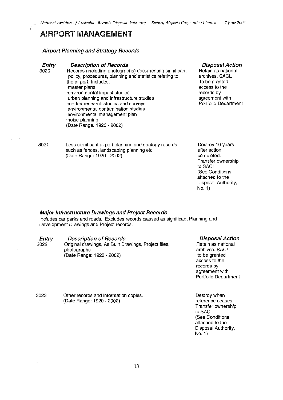### **Airport Planning and Strategy Records**

| Entry | <b>Description of Records</b>                                                                                      |
|-------|--------------------------------------------------------------------------------------------------------------------|
| 3020  | Records (including photographs) documenting significant<br>policy, procedures, planning and statistics relating to |
|       | the airport. Includes:                                                                                             |
|       | master plans                                                                                                       |
|       | -environmental impact studies                                                                                      |
|       | urban planning and infrastructure studies                                                                          |
|       | market research studies and surveys                                                                                |
|       | environmental contamination studies                                                                                |
|       | environmental management plan                                                                                      |
|       | noise planning                                                                                                     |
|       | (Date Range: 1920 - 2002)                                                                                          |

3021 Less significant airport planning and strategy records such as fences, landscaping planning etc. (Date Range: 1920 - 2002)

Destroy 10 years after action completed. Transfer ownership to SACL (See Conditions attached to the Disposal Authority, No.1)

**Disposal Action**  Retain as national archives. SACL to be granted access to the records by agreement with Portfolio Department

# **Major Infrastructure Drawings and Project Records**

Includes car parks and roads. Excludes records classed as significant Planning and Development Drawings and Project records.

| Entry | <b>Description of Records</b>                                                                    | <b>Disposal Action</b>                                                                                                         |
|-------|--------------------------------------------------------------------------------------------------|--------------------------------------------------------------------------------------------------------------------------------|
| 3022  | Original drawings, As Built Drawings, Project files,<br>photographs<br>(Date Range: 1920 - 2002) | Retain as national<br>archives. SACL<br>to be granted<br>access to the<br>records by<br>agreement with<br>Portfolio Department |
|       |                                                                                                  |                                                                                                                                |

3023 Other records and information copies. (Date Range: 1920 - 2002)

Destroy when reference ceases. Transfer ownership to SACL (See Conditions attached to the Disposal Authority, No.1)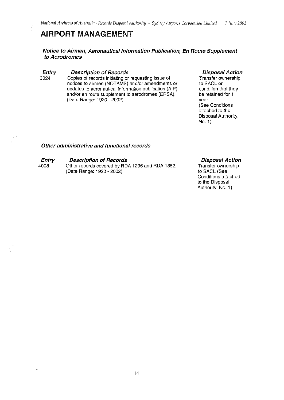# **Notice to Airmen,** Aeronautical Information **PUblication, En Route Supplement to Aerodromes**

# **Entry Description of Records**<br>3024 Copies of records initiating or

3024 Copies of records initiating or requesting issue of notices to airmen (NOTAMS) and/or amendments or updates to aeronautical information publication (AlP) and/or en route supplement to aerodromes (ERSA). (Date Range: 1920 - 2002)

# **Disposal Action**

Transfer ownership to SACL on condition that they be retained for 1 year (See Conditions attached to the Disposal Authority, No.1)

# **Other administrative and functional records**

| Entry |
|-------|
| 4008  |

 $\ddot{\phantom{a}}$ 

**Entry Description of Records**  Other records covered by RDA 1296 and RDA 1352. (Date Range: 1920 - 2002)

**Disposal Action** 

Transfer ownership to SACL (See Conditions attached to the Disposal Authority, No.1)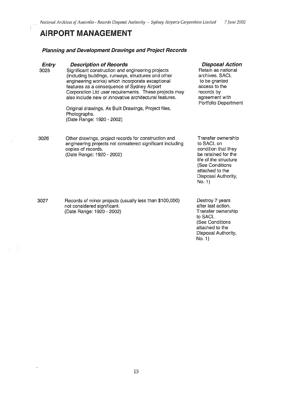$\mathbb{C}$ 

 $\frac{1}{2}$ 

 $\mathbb{C}^{\mathbb{Z}}$ 

 $\downarrow$ 

# **Planning and Development Drawings and Project Records**

| Entry<br>3025 | <b>Description of Records</b><br>Significant construction and engineering projects<br>(including buildings, runways, structures and other<br>engineering works) which incorporate exceptional<br>features as a consequence of Sydney Airport<br>Corporation Ltd user requirements. These projects may<br>also include new or innovative architectural features.<br>Original drawings, As Built Drawings, Project files,<br>Photographs.<br>(Date Range: 1920 - 2002) | <b>Disposal Action</b><br>Retain as national<br>archives. SACL<br>to be granted<br>access to the<br>records by<br>agreement with<br>Portfolio Department                       |
|---------------|----------------------------------------------------------------------------------------------------------------------------------------------------------------------------------------------------------------------------------------------------------------------------------------------------------------------------------------------------------------------------------------------------------------------------------------------------------------------|--------------------------------------------------------------------------------------------------------------------------------------------------------------------------------|
| 3026          | Other drawings, project records for construction and<br>engineering projects not considered significant including<br>copies of records.<br>(Date Range: 1920 - 2002)                                                                                                                                                                                                                                                                                                 | Transfer ownership<br>to SACL on<br>condition that they<br>be retained for the<br>life of the structure<br>(See Conditions<br>attached to the<br>Disposal Authority,<br>No. 1) |
| 3027          | Records of minor projects (usually less than \$100,000)<br>not considered significant.<br>(Date Range: 1920 - 2002)                                                                                                                                                                                                                                                                                                                                                  | Destroy 7 years<br>after last action.<br>Transfer ownership<br>to SACL<br>(See Conditions<br>attached to the<br>Disposal Authority,<br>No. 1)                                  |